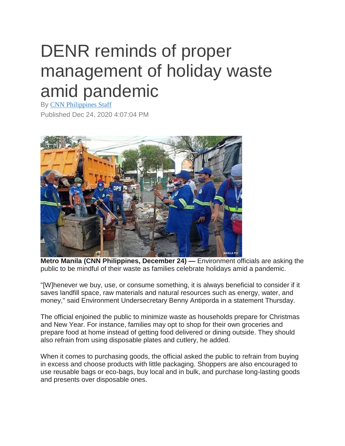## DENR reminds of proper management of holiday waste amid pandemic

By [CNN Philippines Staff](https://www.cnnphilippines.com/cnn-website/search/?queryStr=CNN%20Philippines%20Staff) Published Dec 24, 2020 4:07:04 PM



**Metro Manila (CNN Philippines, December 24) —** Environment officials are asking the public to be mindful of their waste as families celebrate holidays amid a pandemic.

"[W]henever we buy, use, or consume something, it is always beneficial to consider if it saves landfill space, raw materials and natural resources such as energy, water, and money," said Environment Undersecretary Benny Antiporda in a statement Thursday.

The official enjoined the public to minimize waste as households prepare for Christmas and New Year. For instance, families may opt to shop for their own groceries and prepare food at home instead of getting food delivered or dining outside. They should also refrain from using disposable plates and cutlery, he added.

When it comes to purchasing goods, the official asked the public to refrain from buying in excess and choose products with little packaging. Shoppers are also encouraged to use reusable bags or eco-bags, buy local and in bulk, and purchase long-lasting goods and presents over disposable ones.